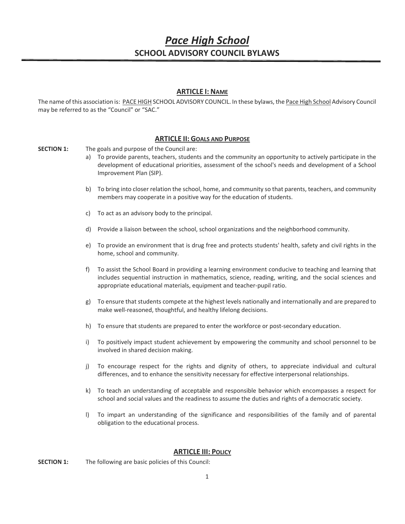# *Pace High School* **SCHOOL ADVISORY COUNCIL BYLAWS**

# **ARTICLE I: NAME**

The name of this association is: PACE HIGH SCHOOL ADVISORY COUNCIL. In these bylaws, the Pace High School Advisory Council may be referred to as the "Council" or "SAC."

# **ARTICLE II: GOALS AND PURPOSE**

**SECTION 1:** The goals and purpose of the Council are:

- a) To provide parents, teachers, students and the community an opportunity to actively participate in the development of educational priorities, assessment of the school's needs and development of a School Improvement Plan (SIP).
- b) To bring into closer relation the school, home, and community so that parents, teachers, and community members may cooperate in a positive way for the education of students.
- c) To act as an advisory body to the principal.
- d) Provide a liaison between the school, school organizations and the neighborhood community.
- e) To provide an environment that is drug free and protects students' health, safety and civil rights in the home, school and community.
- f) To assist the School Board in providing a learning environment conducive to teaching and learning that includes sequential instruction in mathematics, science, reading, writing, and the social sciences and appropriate educational materials, equipment and teacher-pupil ratio.
- g) To ensure that students compete at the highest levels nationally and internationally and are prepared to make well-reasoned, thoughtful, and healthy lifelong decisions.
- h) To ensure that students are prepared to enter the workforce or post-secondary education.
- i) To positively impact student achievement by empowering the community and school personnel to be involved in shared decision making.
- j) To encourage respect for the rights and dignity of others, to appreciate individual and cultural differences, and to enhance the sensitivity necessary for effective interpersonal relationships.
- k) To teach an understanding of acceptable and responsible behavior which encompasses a respect for school and social values and the readiness to assume the duties and rights of a democratic society.
- l) To impart an understanding of the significance and responsibilities of the family and of parental obligation to the educational process.

## **ARTICLE III: POLICY**

**SECTION 1:** The following are basic policies of this Council: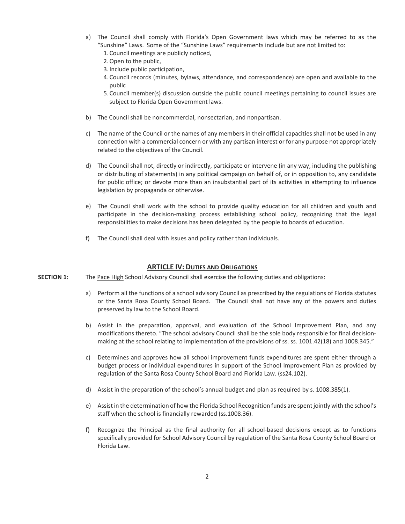- a) The Council shall comply with Florida's Open Government laws which may be referred to as the "Sunshine" Laws. Some of the "Sunshine Laws" requirements include but are not limited to:
	- 1. Council meetings are publicly noticed,
	- 2. Open to the public,
	- 3. Include public participation,
	- 4. Council records (minutes, bylaws, attendance, and correspondence) are open and available to the public
	- 5. Council member(s) discussion outside the public council meetings pertaining to council issues are subject to Florida Open Government laws.
- b) The Council shall be noncommercial, nonsectarian, and nonpartisan.
- c) The name of the Council or the names of any members in their official capacities shall not be used in any connection with a commercial concern or with any partisan interest or for any purpose not appropriately related to the objectives of the Council.
- d) The Council shall not, directly or indirectly, participate or intervene (in any way, including the publishing or distributing of statements) in any political campaign on behalf of, or in opposition to, any candidate for public office; or devote more than an insubstantial part of its activities in attempting to influence legislation by propaganda or otherwise.
- e) The Council shall work with the school to provide quality education for all children and youth and participate in the decision-making process establishing school policy, recognizing that the legal responsibilities to make decisions has been delegated by the people to boards of education.
- f) The Council shall deal with issues and policy rather than individuals.

## **ARTICLE IV: DUTIES AND OBLIGATIONS**

- **SECTION 1:** The Pace High School Advisory Council shall exercise the following duties and obligations:
	- a) Perform all the functions of a school advisory Council as prescribed by the regulations of Florida statutes or the Santa Rosa County School Board. The Council shall not have any of the powers and duties preserved by law to the School Board.
	- b) Assist in the preparation, approval, and evaluation of the School Improvement Plan, and any modifications thereto. "The school advisory Council shall be the sole body responsible for final decisionmaking at the school relating to implementation of the provisions of ss. ss. 1001.42(18) and 1008.345."
	- c) Determines and approves how all school improvement funds expenditures are spent either through a budget process or individual expenditures in support of the School Improvement Plan as provided by regulation of the Santa Rosa County School Board and Florida Law. (ss24.102).
	- d) Assist in the preparation of the school's annual budget and plan as required by s. 1008.385(1).
	- e) Assist in the determination of how the Florida School Recognition funds are spent jointly with the school's staff when the school is financially rewarded (ss.1008.36).
	- f) Recognize the Principal as the final authority for all school-based decisions except as to functions specifically provided for School Advisory Council by regulation of the Santa Rosa County School Board or Florida Law.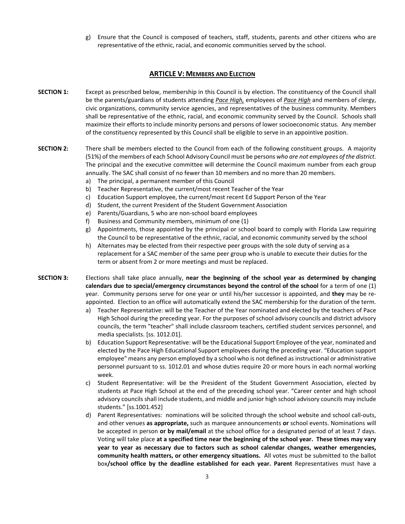g) Ensure that the Council is composed of teachers, staff, students, parents and other citizens who are representative of the ethnic, racial, and economic communities served by the school.

# **ARTICLE V: MEMBERS AND ELECTION**

- **SECTION 1:** Except as prescribed below, membership in this Council is by election. The constituency of the Council shall be the parents/guardians of students attending *Pace High,* employees of *Pace High* and members of clergy, civic organizations, community service agencies, and representatives of the business community. Members shall be representative of the ethnic, racial, and economic community served by the Council. Schools shall maximize their efforts to include minority persons and persons of lower socioeconomic status. Any member of the constituency represented by this Council shall be eligible to serve in an appointive position.
- **SECTION 2:** There shall be members elected to the Council from each of the following constituent groups. A majority (51%) of the members of each School Advisory Council must be persons *who are not employees of the district*. The principal and the executive committee will determine the Council maximum number from each group annually. The SAC shall consist of no fewer than 10 members and no more than 20 members.
	- a) The principal, a permanent member of this Council
	- b) Teacher Representative, the current/most recent Teacher of the Year
	- c) Education Support employee, the current/most recent Ed Support Person of the Year
	- d) Student, the current President of the Student Government Association
	- e) Parents/Guardians, 5 who are non-school board employees
	- f) Business and Community members, minimum of one (1)
	- g) Appointments, those appointed by the principal or school board to comply with Florida Law requiring the Council to be representative of the ethnic, racial, and economic community served by the school
	- h) Alternates may be elected from their respective peer groups with the sole duty of serving as a replacement for a SAC member of the same peer group who is unable to execute their duties for the term or absent from 2 or more meetings and must be replaced.
- **SECTION 3:** Elections shall take place annually, **near the beginning of the school year as determined by changing calendars due to special/emergency circumstances beyond the control of the school** for a term of one (1) year. Community persons serve for one year or until his/her successor is appointed, and **they** may be reappointed. Election to an office will automatically extend the SAC membership for the duration of the term.
	- a) Teacher Representative: will be the Teacher of the Year nominated and elected by the teachers of Pace High School during the preceding year. For the purposes of school advisory councils and district advisory councils, the term "teacher" shall include classroom teachers, certified student services personnel, and media specialists. [ss. 1012.01].
	- b) Education Support Representative: will be the Educational Support Employee of the year, nominated and elected by the Pace High Educational Support employees during the preceding year. "Education support employee" means any person employed by a school who is not defined as instructional or administrative personnel pursuant to ss. 1012.01 and whose duties require 20 or more hours in each normal working week.
	- c) Student Representative: will be the President of the Student Government Association, elected by students at Pace High School at the end of the preceding school year. "Career center and high school advisory councils shall include students, and middle and junior high school advisory councils may include students." [ss.1001.452]
	- d) Parent Representatives: nominations will be solicited through the school website and school call-outs, and other venues **as appropriate,** such as marquee announcements **or** school events. Nominations will be accepted in person **or by mail/email** at the school office for a designated period of at least 7 days. Voting will take place **at a specified time near the beginning of the school year. These times may vary year to year as necessary due to factors such as school calendar changes, weather emergencies, community health matters, or other emergency situations.** All votes must be submitted to the ballot box**/school office by the deadline established for each year. Parent** Representatives must have a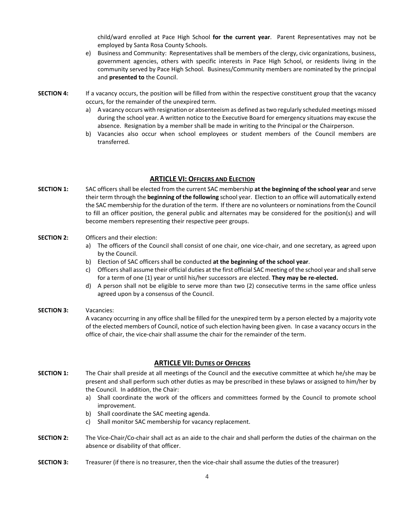child/ward enrolled at Pace High School **for the current year**. Parent Representatives may not be employed by Santa Rosa County Schools.

- e) Business and Community: Representatives shall be members of the clergy, civic organizations, business, government agencies, others with specific interests in Pace High School, or residents living in the community served by Pace High School. Business/Community members are nominated by the principal and **presented to** the Council.
- **SECTION 4:** If a vacancy occurs, the position will be filled from within the respective constituent group that the vacancy occurs, for the remainder of the unexpired term.
	- a) A vacancy occurs with resignation or absenteeism as defined as two regularly scheduled meetings missed during the school year. A written notice to the Executive Board for emergency situations may excuse the absence. Resignation by a member shall be made in writing to the Principal or the Chairperson.
	- b) Vacancies also occur when school employees or student members of the Council members are transferred.

#### **ARTICLE VI: OFFICERS AND ELECTION**

**SECTION 1:** SAC officers shall be elected from the current SAC membership **at the beginning of the school year** and serve their term through the **beginning of the following** school year. Election to an office will automatically extend the SAC membership for the duration of the term. If there are no volunteers or nominations from the Council to fill an officer position, the general public and alternates may be considered for the position(s) and will become members representing their respective peer groups.

## **SECTION 2:** Officers and their election:

- a) The officers of the Council shall consist of one chair, one vice-chair, and one secretary, as agreed upon by the Council.
- b) Election of SAC officers shall be conducted **at the beginning of the school year**.
- c) Officers shall assume their official duties at the first official SAC meeting of the school year and shall serve for a term of one (1) year or until his/her successors are elected. **They may be re-elected.**
- d) A person shall not be eligible to serve more than two (2) consecutive terms in the same office unless agreed upon by a consensus of the Council.

### **SECTION 3:** Vacancies:

A vacancy occurring in any office shall be filled for the unexpired term by a person elected by a majority vote of the elected members of Council, notice of such election having been given. In case a vacancy occurs in the office of chair, the vice-chair shall assume the chair for the remainder of the term.

#### **ARTICLE VII: DUTIES OF OFFICERS**

- **SECTION 1:** The Chair shall preside at all meetings of the Council and the executive committee at which he/she may be present and shall perform such other duties as may be prescribed in these bylaws or assigned to him/her by the Council. In addition, the Chair:
	- a) Shall coordinate the work of the officers and committees formed by the Council to promote school improvement.
	- b) Shall coordinate the SAC meeting agenda.
	- c) Shall monitor SAC membership for vacancy replacement.
- **SECTION 2:** The Vice-Chair/Co-chair shall act as an aide to the chair and shall perform the duties of the chairman on the absence or disability of that officer.
- **SECTION 3:** Treasurer (if there is no treasurer, then the vice-chair shall assume the duties of the treasurer)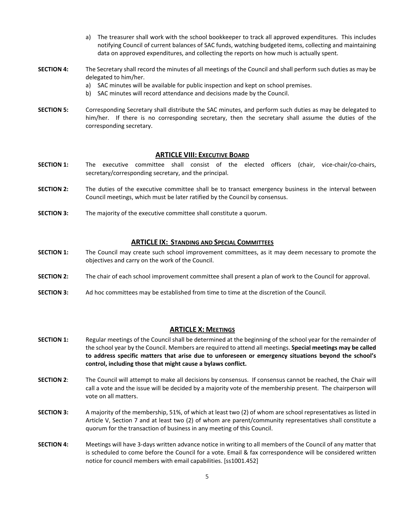- a) The treasurer shall work with the school bookkeeper to track all approved expenditures. This includes notifying Council of current balances of SAC funds, watching budgeted items, collecting and maintaining data on approved expenditures, and collecting the reports on how much is actually spent.
- **SECTION 4:** The Secretary shall record the minutes of all meetings of the Council and shall perform such duties as may be delegated to him/her.
	- a) SAC minutes will be available for public inspection and kept on school premises.
		- b) SAC minutes will record attendance and decisions made by the Council.
- **SECTION 5:** Corresponding Secretary shall distribute the SAC minutes, and perform such duties as may be delegated to him/her. If there is no corresponding secretary, then the secretary shall assume the duties of the corresponding secretary.

# **ARTICLE VIII: EXECUTIVE BOARD**

- **SECTION 1:** The executive committee shall consist of the elected officers (chair, vice-chair/co-chairs, secretary/corresponding secretary, and the principal.
- **SECTION 2:** The duties of the executive committee shall be to transact emergency business in the interval between Council meetings, which must be later ratified by the Council by consensus.
- **SECTION 3:** The majority of the executive committee shall constitute a quorum.

## **ARTICLE IX: STANDING AND SPECIAL COMMITTEES**

- **SECTION 1:** The Council may create such school improvement committees, as it may deem necessary to promote the objectives and carry on the work of the Council.
- **SECTION 2:** The chair of each school improvement committee shall present a plan of work to the Council for approval.
- **SECTION 3:** Ad hoc committees may be established from time to time at the discretion of the Council.

## **ARTICLE X: MEETINGS**

- **SECTION 1:** Regular meetings of the Council shall be determined at the beginning of the school year for the remainder of the school year by the Council. Members are required to attend all meetings. **Special meetings may be called to address specific matters that arise due to unforeseen or emergency situations beyond the school's control, including those that might cause a bylaws conflict.**
- **SECTION 2**: The Council will attempt to make all decisions by consensus. If consensus cannot be reached, the Chair will call a vote and the issue will be decided by a majority vote of the membership present. The chairperson will vote on all matters.
- **SECTION 3:** A majority of the membership, 51%, of which at least two (2) of whom are school representatives as listed in Article V, Section 7 and at least two (2) of whom are parent/community representatives shall constitute a quorum for the transaction of business in any meeting of this Council.
- **SECTION 4:** Meetings will have 3-days written advance notice in writing to all members of the Council of any matter that is scheduled to come before the Council for a vote. Email & fax correspondence will be considered written notice for council members with email capabilities. [ss1001.452]